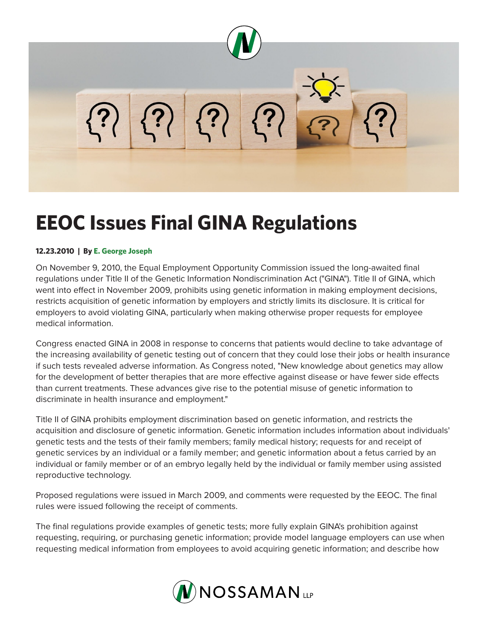

# **EEOC Issues Final GINA Regulations**

### **12.23.2010 | By E. George Joseph**

On November 9, 2010, the Equal Employment Opportunity Commission issued the long-awaited final regulations under Title II of the Genetic Information Nondiscrimination Act ("GINA"). Title II of GINA, which went into effect in November 2009, prohibits using genetic information in making employment decisions, restricts acquisition of genetic information by employers and strictly limits its disclosure. It is critical for employers to avoid violating GINA, particularly when making otherwise proper requests for employee medical information.

Congress enacted GINA in 2008 in response to concerns that patients would decline to take advantage of the increasing availability of genetic testing out of concern that they could lose their jobs or health insurance if such tests revealed adverse information. As Congress noted, "New knowledge about genetics may allow for the development of better therapies that are more effective against disease or have fewer side effects than current treatments. These advances give rise to the potential misuse of genetic information to discriminate in health insurance and employment."

Title II of GINA prohibits employment discrimination based on genetic information, and restricts the acquisition and disclosure of genetic information. Genetic information includes information about individuals' genetic tests and the tests of their family members; family medical history; requests for and receipt of genetic services by an individual or a family member; and genetic information about a fetus carried by an individual or family member or of an embryo legally held by the individual or family member using assisted reproductive technology.

Proposed regulations were issued in March 2009, and comments were requested by the EEOC. The final rules were issued following the receipt of comments.

The final regulations provide examples of genetic tests; more fully explain GINA's prohibition against requesting, requiring, or purchasing genetic information; provide model language employers can use when requesting medical information from employees to avoid acquiring genetic information; and describe how

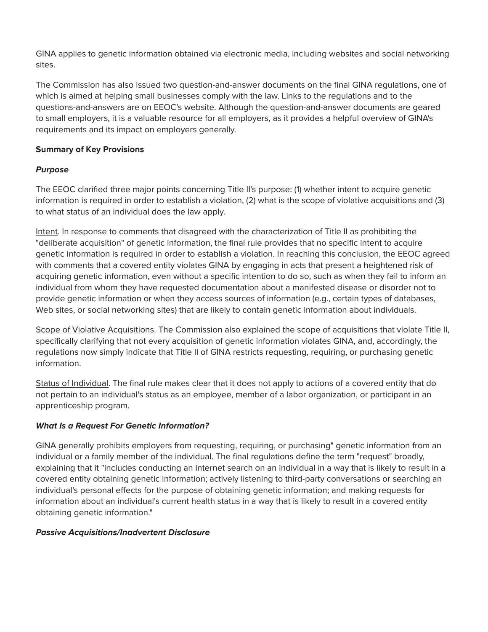GINA applies to genetic information obtained via electronic media, including websites and social networking sites.

The Commission has also issued two question-and-answer documents on the final GINA regulations, one of which is aimed at helping small businesses comply with the law. Links to the regulations and to the questions-and-answers are on EEOC's website. Although the question-and-answer documents are geared to small employers, it is a valuable resource for all employers, as it provides a helpful overview of GINA's requirements and its impact on employers generally.

## **Summary of Key Provisions**

## *Purpose*

The EEOC clarified three major points concerning Title II's purpose: (1) whether intent to acquire genetic information is required in order to establish a violation, (2) what is the scope of violative acquisitions and (3) to what status of an individual does the law apply.

Intent. In response to comments that disagreed with the characterization of Title II as prohibiting the "deliberate acquisition" of genetic information, the final rule provides that no specific intent to acquire genetic information is required in order to establish a violation. In reaching this conclusion, the EEOC agreed with comments that a covered entity violates GINA by engaging in acts that present a heightened risk of acquiring genetic information, even without a specific intention to do so, such as when they fail to inform an individual from whom they have requested documentation about a manifested disease or disorder not to provide genetic information or when they access sources of information (e.g., certain types of databases, Web sites, or social networking sites) that are likely to contain genetic information about individuals.

Scope of Violative Acquisitions. The Commission also explained the scope of acquisitions that violate Title II, specifically clarifying that not every acquisition of genetic information violates GINA, and, accordingly, the regulations now simply indicate that Title II of GINA restricts requesting, requiring, or purchasing genetic information.

Status of Individual. The final rule makes clear that it does not apply to actions of a covered entity that do not pertain to an individual's status as an employee, member of a labor organization, or participant in an apprenticeship program.

## *What Is a Request For Genetic Information?*

GINA generally prohibits employers from requesting, requiring, or purchasing" genetic information from an individual or a family member of the individual. The final regulations define the term "request" broadly, explaining that it "includes conducting an Internet search on an individual in a way that is likely to result in a covered entity obtaining genetic information; actively listening to third-party conversations or searching an individual's personal effects for the purpose of obtaining genetic information; and making requests for information about an individual's current health status in a way that is likely to result in a covered entity obtaining genetic information."

#### *Passive Acquisitions/Inadvertent Disclosure*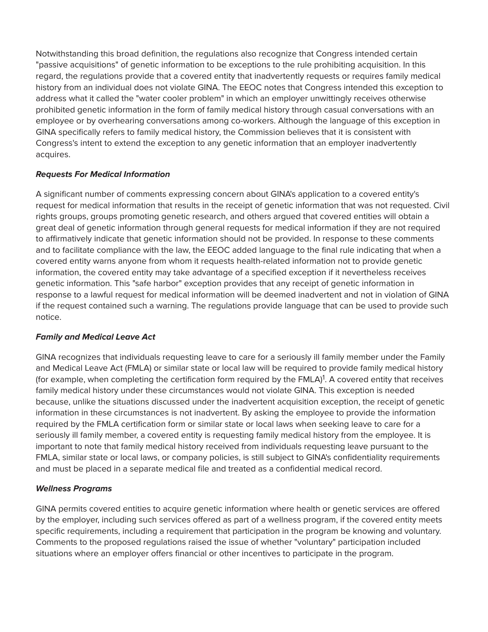Notwithstanding this broad definition, the regulations also recognize that Congress intended certain "passive acquisitions" of genetic information to be exceptions to the rule prohibiting acquisition. In this regard, the regulations provide that a covered entity that inadvertently requests or requires family medical history from an individual does not violate GINA. The EEOC notes that Congress intended this exception to address what it called the "water cooler problem" in which an employer unwittingly receives otherwise prohibited genetic information in the form of family medical history through casual conversations with an employee or by overhearing conversations among co-workers. Although the language of this exception in GINA specifically refers to family medical history, the Commission believes that it is consistent with Congress's intent to extend the exception to any genetic information that an employer inadvertently acquires.

## *Requests For Medical Information*

A significant number of comments expressing concern about GINA's application to a covered entity's request for medical information that results in the receipt of genetic information that was not requested. Civil rights groups, groups promoting genetic research, and others argued that covered entities will obtain a great deal of genetic information through general requests for medical information if they are not required to affirmatively indicate that genetic information should not be provided. In response to these comments and to facilitate compliance with the law, the EEOC added language to the final rule indicating that when a covered entity warns anyone from whom it requests health-related information not to provide genetic information, the covered entity may take advantage of a specified exception if it nevertheless receives genetic information. This "safe harbor" exception provides that any receipt of genetic information in response to a lawful request for medical information will be deemed inadvertent and not in violation of GINA if the request contained such a warning. The regulations provide language that can be used to provide such notice.

## *Family and Medical Leave Act*

GINA recognizes that individuals requesting leave to care for a seriously ill family member under the Family and Medical Leave Act (FMLA) or similar state or local law will be required to provide family medical history (for example, when completing the certification form required by the FMLA)<sup>1</sup>. A covered entity that receives family medical history under these circumstances would not violate GINA. This exception is needed because, unlike the situations discussed under the inadvertent acquisition exception, the receipt of genetic information in these circumstances is not inadvertent. By asking the employee to provide the information required by the FMLA certification form or similar state or local laws when seeking leave to care for a seriously ill family member, a covered entity is requesting family medical history from the employee. It is important to note that family medical history received from individuals requesting leave pursuant to the FMLA, similar state or local laws, or company policies, is still subject to GINA's confidentiality requirements and must be placed in a separate medical file and treated as a confidential medical record.

## *Wellness Programs*

GINA permits covered entities to acquire genetic information where health or genetic services are offered by the employer, including such services offered as part of a wellness program, if the covered entity meets specific requirements, including a requirement that participation in the program be knowing and voluntary. Comments to the proposed regulations raised the issue of whether "voluntary" participation included situations where an employer offers financial or other incentives to participate in the program.